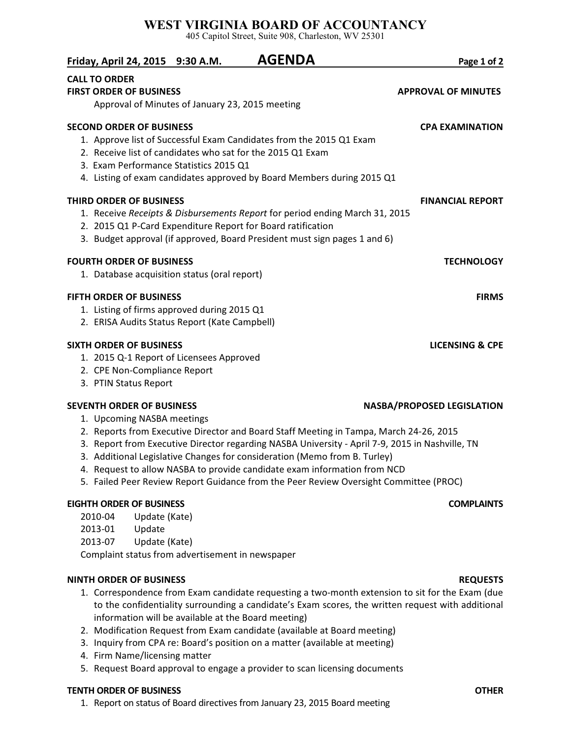## **WEST VIRGINIA BOARD OF ACCOUNTANCY**

405 Capitol Street, Suite 908, Charleston, WV 25301

| Page 1 of 2                       | <b>AGENDA</b>                                                                                                                                                                                               | Friday, April 24, 2015 9:30 A.M.                       |  |
|-----------------------------------|-------------------------------------------------------------------------------------------------------------------------------------------------------------------------------------------------------------|--------------------------------------------------------|--|
| <b>APPROVAL OF MINUTES</b>        | Approval of Minutes of January 23, 2015 meeting                                                                                                                                                             | <b>CALL TO ORDER</b><br><b>FIRST ORDER OF BUSINESS</b> |  |
| <b>CPA EXAMINATION</b>            |                                                                                                                                                                                                             | <b>SECOND ORDER OF BUSINESS</b>                        |  |
|                                   | 1. Approve list of Successful Exam Candidates from the 2015 Q1 Exam<br>2. Receive list of candidates who sat for the 2015 Q1 Exam<br>4. Listing of exam candidates approved by Board Members during 2015 Q1 | 3. Exam Performance Statistics 2015 Q1                 |  |
| <b>FINANCIAL REPORT</b>           |                                                                                                                                                                                                             | <b>THIRD ORDER OF BUSINESS</b>                         |  |
|                                   | 1. Receive Receipts & Disbursements Report for period ending March 31, 2015<br>2. 2015 Q1 P-Card Expenditure Report for Board ratification                                                                  |                                                        |  |
|                                   | 3. Budget approval (if approved, Board President must sign pages 1 and 6)                                                                                                                                   |                                                        |  |
| <b>TECHNOLOGY</b>                 | <b>FOURTH ORDER OF BUSINESS</b>                                                                                                                                                                             |                                                        |  |
|                                   | 1. Database acquisition status (oral report)                                                                                                                                                                |                                                        |  |
| <b>FIRMS</b>                      |                                                                                                                                                                                                             | <b>FIFTH ORDER OF BUSINESS</b>                         |  |
|                                   | 1. Listing of firms approved during 2015 Q1                                                                                                                                                                 |                                                        |  |
|                                   | 2. ERISA Audits Status Report (Kate Campbell)                                                                                                                                                               |                                                        |  |
| <b>LICENSING &amp; CPE</b>        |                                                                                                                                                                                                             | <b>SIXTH ORDER OF BUSINESS</b>                         |  |
|                                   | 1. 2015 Q-1 Report of Licensees Approved                                                                                                                                                                    |                                                        |  |
|                                   |                                                                                                                                                                                                             | 2. CPE Non-Compliance Report                           |  |
|                                   |                                                                                                                                                                                                             | 3. PTIN Status Report                                  |  |
| <b>NASBA/PROPOSED LEGISLATION</b> |                                                                                                                                                                                                             | <b>SEVENTH ORDER OF BUSINESS</b>                       |  |
|                                   |                                                                                                                                                                                                             | 1. Upcoming NASBA meetings                             |  |
|                                   | 2. Reports from Executive Director and Board Staff Meeting in Tampa, March 24-26, 2015                                                                                                                      |                                                        |  |

- 3. Report from Executive Director regarding NASBA University April 7-9, 2015 in Nashville, TN
- 3. Additional Legislative Changes for consideration (Memo from B. Turley)
- 4. Request to allow NASBA to provide candidate exam information from NCD
- 5. Failed Peer Review Report Guidance from the Peer Review Oversight Committee (PROC)

## **EIGHTH ORDER OF BUSINESS COMPLAINTS**

- 2010-04 Update (Kate)
- 2013-01 Update
- 2013-07 Update (Kate)

Complaint status from advertisement in newspaper

### **NINTH ORDER OF BUSINESS REQUESTS**

- 1. Correspondence from Exam candidate requesting a two-month extension to sit for the Exam (due to the confidentiality surrounding a candidate's Exam scores, the written request with additional information will be available at the Board meeting)
- 2. Modification Request from Exam candidate (available at Board meeting)
- 3. Inquiry from CPA re: Board's position on a matter (available at meeting)
- 4. Firm Name/licensing matter
- 5. Request Board approval to engage a provider to scan licensing documents

### **TENTH ORDER OF BUSINESS OTHER**

1. Report on status of Board directives from January 23, 2015 Board meeting